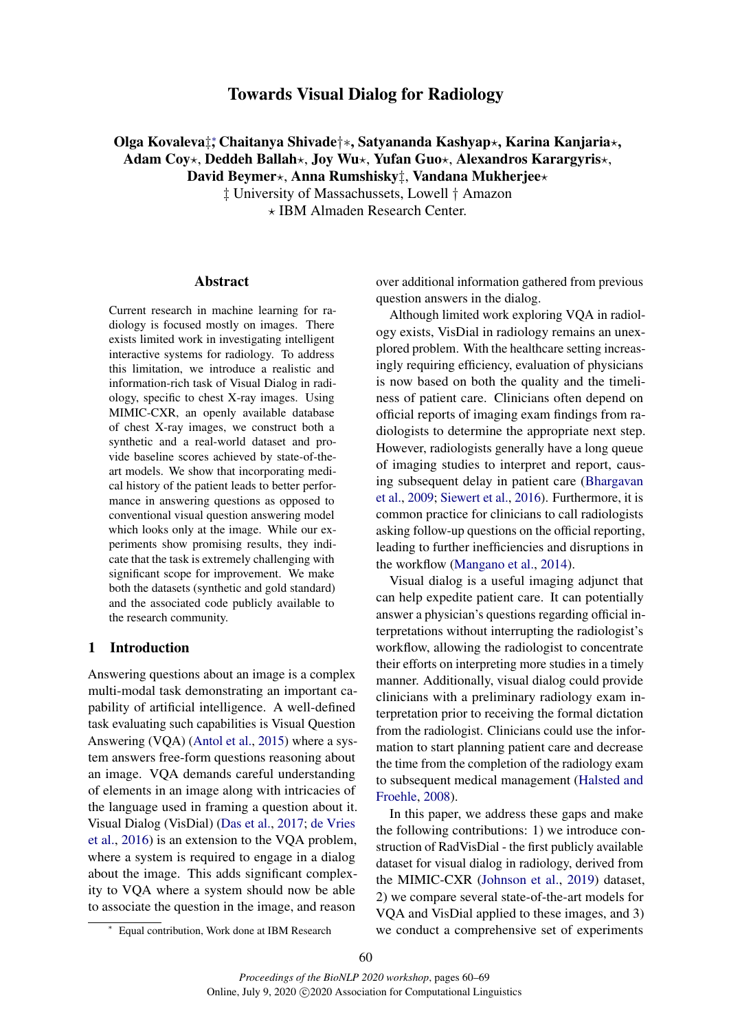# Towards Visual Dialog for Radiology

# Olga Kovaleva‡,\* Chaitanya Shivade†\*, Satyananda Kashyap\*, Karina Kanjaria\*, Adam Coy\*, Deddeh Ballah\*, Joy Wu\*, Yufan Guo\*, Alexandros Karargyris\*, David Beymer\*, Anna Rumshisky<sup>†</sup>, Vandana Mukherjee\*

‡ University of Massachussets, Lowell † Amazon ? IBM Almaden Research Center.

#### Abstract

Current research in machine learning for radiology is focused mostly on images. There exists limited work in investigating intelligent interactive systems for radiology. To address this limitation, we introduce a realistic and information-rich task of Visual Dialog in radiology, specific to chest X-ray images. Using MIMIC-CXR, an openly available database of chest X-ray images, we construct both a synthetic and a real-world dataset and provide baseline scores achieved by state-of-theart models. We show that incorporating medical history of the patient leads to better performance in answering questions as opposed to conventional visual question answering model which looks only at the image. While our experiments show promising results, they indicate that the task is extremely challenging with significant scope for improvement. We make both the datasets (synthetic and gold standard) and the associated code publicly available to the research community.

## 1 Introduction

Answering questions about an image is a complex multi-modal task demonstrating an important capability of artificial intelligence. A well-defined task evaluating such capabilities is Visual Question Answering (VQA) [\(Antol et al.,](#page-8-0) [2015\)](#page-8-0) where a system answers free-form questions reasoning about an image. VQA demands careful understanding of elements in an image along with intricacies of the language used in framing a question about it. Visual Dialog (VisDial) [\(Das et al.,](#page-8-1) [2017;](#page-8-1) [de Vries](#page-9-0) [et al.,](#page-9-0) [2016\)](#page-9-0) is an extension to the VQA problem, where a system is required to engage in a dialog about the image. This adds significant complexity to VQA where a system should now be able to associate the question in the image, and reason

over additional information gathered from previous question answers in the dialog.

Although limited work exploring VQA in radiology exists, VisDial in radiology remains an unexplored problem. With the healthcare setting increasingly requiring efficiency, evaluation of physicians is now based on both the quality and the timeliness of patient care. Clinicians often depend on official reports of imaging exam findings from radiologists to determine the appropriate next step. However, radiologists generally have a long queue of imaging studies to interpret and report, causing subsequent delay in patient care [\(Bhargavan](#page-8-2) [et al.,](#page-8-2) [2009;](#page-8-2) [Siewert et al.,](#page-9-1) [2016\)](#page-9-1). Furthermore, it is common practice for clinicians to call radiologists asking follow-up questions on the official reporting, leading to further inefficiencies and disruptions in the workflow [\(Mangano et al.,](#page-9-2) [2014\)](#page-9-2).

Visual dialog is a useful imaging adjunct that can help expedite patient care. It can potentially answer a physician's questions regarding official interpretations without interrupting the radiologist's workflow, allowing the radiologist to concentrate their efforts on interpreting more studies in a timely manner. Additionally, visual dialog could provide clinicians with a preliminary radiology exam interpretation prior to receiving the formal dictation from the radiologist. Clinicians could use the information to start planning patient care and decrease the time from the completion of the radiology exam to subsequent medical management [\(Halsted and](#page-8-3) [Froehle,](#page-8-3) [2008\)](#page-8-3).

In this paper, we address these gaps and make the following contributions: 1) we introduce construction of RadVisDial - the first publicly available dataset for visual dialog in radiology, derived from the MIMIC-CXR [\(Johnson et al.,](#page-9-3) [2019\)](#page-9-3) dataset, 2) we compare several state-of-the-art models for VQA and VisDial applied to these images, and 3) we conduct a comprehensive set of experiments

<sup>∗</sup> Equal contribution, Work done at IBM Research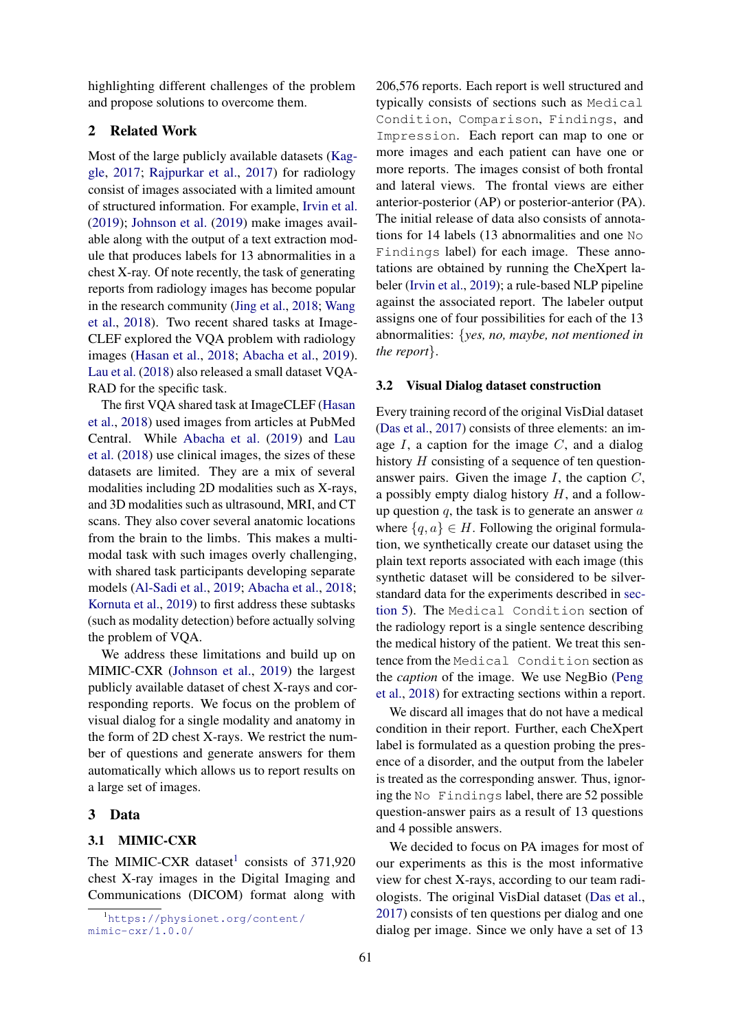highlighting different challenges of the problem and propose solutions to overcome them.

## 2 Related Work

Most of the large publicly available datasets [\(Kag](#page-9-4)[gle,](#page-9-4) [2017;](#page-9-4) [Rajpurkar et al.,](#page-9-5) [2017\)](#page-9-5) for radiology consist of images associated with a limited amount of structured information. For example, [Irvin et al.](#page-9-6) [\(2019\)](#page-9-6); [Johnson et al.](#page-9-3) [\(2019\)](#page-9-3) make images available along with the output of a text extraction module that produces labels for 13 abnormalities in a chest X-ray. Of note recently, the task of generating reports from radiology images has become popular in the research community [\(Jing et al.,](#page-9-7) [2018;](#page-9-7) [Wang](#page-9-8) [et al.,](#page-9-8) [2018\)](#page-9-8). Two recent shared tasks at Image-CLEF explored the VQA problem with radiology images [\(Hasan et al.,](#page-8-4) [2018;](#page-8-4) [Abacha et al.,](#page-8-5) [2019\)](#page-8-5). [Lau et al.](#page-9-9) [\(2018\)](#page-9-9) also released a small dataset VQA-RAD for the specific task.

The first VQA shared task at ImageCLEF [\(Hasan](#page-8-4) [et al.,](#page-8-4) [2018\)](#page-8-4) used images from articles at PubMed Central. While [Abacha et al.](#page-8-5) [\(2019\)](#page-8-5) and [Lau](#page-9-9) [et al.](#page-9-9) [\(2018\)](#page-9-9) use clinical images, the sizes of these datasets are limited. They are a mix of several modalities including 2D modalities such as X-rays, and 3D modalities such as ultrasound, MRI, and CT scans. They also cover several anatomic locations from the brain to the limbs. This makes a multimodal task with such images overly challenging, with shared task participants developing separate models [\(Al-Sadi et al.,](#page-8-6) [2019;](#page-8-6) [Abacha et al.,](#page-8-7) [2018;](#page-8-7) [Kornuta et al.,](#page-9-10) [2019\)](#page-9-10) to first address these subtasks (such as modality detection) before actually solving the problem of VQA.

We address these limitations and build up on MIMIC-CXR [\(Johnson et al.,](#page-9-3) [2019\)](#page-9-3) the largest publicly available dataset of chest X-rays and corresponding reports. We focus on the problem of visual dialog for a single modality and anatomy in the form of 2D chest X-rays. We restrict the number of questions and generate answers for them automatically which allows us to report results on a large set of images.

### 3 Data

## 3.1 MIMIC-CXR

The MIMIC-CXR dataset<sup>[1](#page-1-0)</sup> consists of 371,920 chest X-ray images in the Digital Imaging and Communications (DICOM) format along with

206,576 reports. Each report is well structured and typically consists of sections such as Medical Condition, Comparison, Findings, and Impression. Each report can map to one or more images and each patient can have one or more reports. The images consist of both frontal and lateral views. The frontal views are either anterior-posterior (AP) or posterior-anterior (PA). The initial release of data also consists of annotations for 14 labels (13 abnormalities and one No Findings label) for each image. These annotations are obtained by running the CheXpert labeler [\(Irvin et al.,](#page-9-6) [2019\)](#page-9-6); a rule-based NLP pipeline against the associated report. The labeler output assigns one of four possibilities for each of the 13 abnormalities: {*yes, no, maybe, not mentioned in the report*}.

#### <span id="page-1-1"></span>3.2 Visual Dialog dataset construction

Every training record of the original VisDial dataset [\(Das et al.,](#page-8-1) [2017\)](#page-8-1) consists of three elements: an image  $I$ , a caption for the image  $C$ , and a dialog history H consisting of a sequence of ten questionanswer pairs. Given the image  $I$ , the caption  $C$ , a possibly empty dialog history  $H$ , and a followup question  $q$ , the task is to generate an answer  $a$ where  $\{q, a\} \in H$ . Following the original formulation, we synthetically create our dataset using the plain text reports associated with each image (this synthetic dataset will be considered to be silverstandard data for the experiments described in [sec](#page-3-0)[tion 5\)](#page-3-0). The Medical Condition section of the radiology report is a single sentence describing the medical history of the patient. We treat this sentence from the Medical Condition section as the *caption* of the image. We use NegBio [\(Peng](#page-9-11) [et al.,](#page-9-11) [2018\)](#page-9-11) for extracting sections within a report.

We discard all images that do not have a medical condition in their report. Further, each CheXpert label is formulated as a question probing the presence of a disorder, and the output from the labeler is treated as the corresponding answer. Thus, ignoring the No Findings label, there are 52 possible question-answer pairs as a result of 13 questions and 4 possible answers.

We decided to focus on PA images for most of our experiments as this is the most informative view for chest X-rays, according to our team radiologists. The original VisDial dataset [\(Das et al.,](#page-8-1) [2017\)](#page-8-1) consists of ten questions per dialog and one dialog per image. Since we only have a set of 13

<span id="page-1-0"></span><sup>1</sup>[https://physionet.org/content/](https://physionet.org/content/mimic-cxr/1.0.0/) [mimic-cxr/1.0.0/](https://physionet.org/content/mimic-cxr/1.0.0/)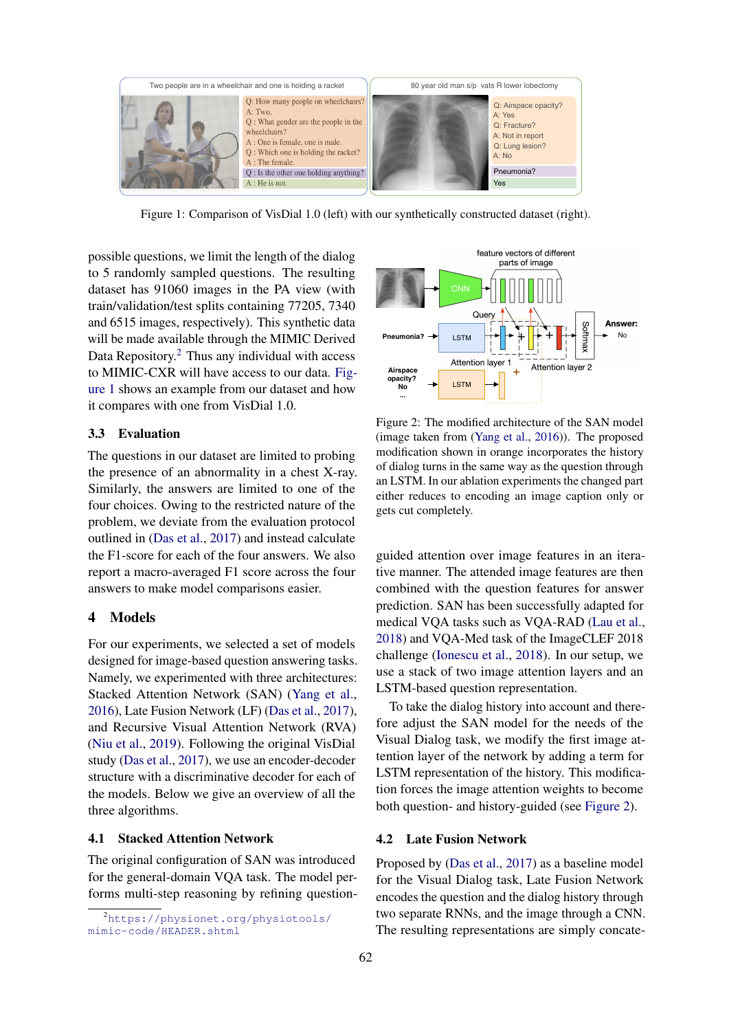<span id="page-2-1"></span>

Figure 1: Comparison of VisDial 1.0 (left) with our synthetically constructed dataset (right).

possible questions, we limit the length of the dialog to 5 randomly sampled questions. The resulting dataset has 91060 images in the PA view (with train/validation/test splits containing 77205, 7340 and 6515 images, respectively). This synthetic data will be made available through the MIMIC Derived Data Repository.<sup>[2](#page-2-0)</sup> Thus any individual with access to MIMIC-CXR will have access to our data. [Fig](#page-2-1)[ure 1](#page-2-1) shows an example from our dataset and how it compares with one from VisDial 1.0.

### 3.3 Evaluation

The questions in our dataset are limited to probing the presence of an abnormality in a chest X-ray. Similarly, the answers are limited to one of the four choices. Owing to the restricted nature of the problem, we deviate from the evaluation protocol outlined in [\(Das et al.,](#page-8-1) [2017\)](#page-8-1) and instead calculate the F1-score for each of the four answers. We also report a macro-averaged F1 score across the four answers to make model comparisons easier.

### 4 Models

For our experiments, we selected a set of models designed for image-based question answering tasks. Namely, we experimented with three architectures: Stacked Attention Network (SAN) [\(Yang et al.,](#page-9-12) [2016\)](#page-9-12), Late Fusion Network (LF) [\(Das et al.,](#page-8-1) [2017\)](#page-8-1), and Recursive Visual Attention Network (RVA) [\(Niu et al.,](#page-9-13) [2019\)](#page-9-13). Following the original VisDial study [\(Das et al.,](#page-8-1) [2017\)](#page-8-1), we use an encoder-decoder structure with a discriminative decoder for each of the models. Below we give an overview of all the three algorithms. will be made available through the MIMIC Derived<br>
Data Repository.<sup>3</sup> Thus any individual with access<br>
Data Repository.<sup>3</sup> Thus any individual with access<br>
to MIMIC CXK will have access to our data. Fig.<br>
ure 1. shows an

## <span id="page-2-3"></span>4.1 Stacked Attention Network

The original configuration of SAN was introduced for the general-domain VQA task. The model performs multi-step reasoning by refining question-

<span id="page-2-2"></span>

Figure 2: The modified architecture of the SAN model (image taken from [\(Yang et al.,](#page-9-12) [2016\)](#page-9-12)). The proposed modification shown in orange incorporates the history of dialog turns in the same way as the question through an LSTM. In our ablation experiments the changed part either reduces to encoding an image caption only or gets cut completely.

guided attention over image features in an iterative manner. The attended image features are then combined with the question features for answer prediction. SAN has been successfully adapted for medical VQA tasks such as VQA-RAD [\(Lau et al.,](#page-9-9) [2018\)](#page-9-9) and VQA-Med task of the ImageCLEF 2018 challenge [\(Ionescu et al.,](#page-9-14) [2018\)](#page-9-14). In our setup, we use a stack of two image attention layers and an LSTM-based question representation.

To take the dialog history into account and therefore adjust the SAN model for the needs of the Visual Dialog task, we modify the first image attention layer of the network by adding a term for LSTM representation of the history. This modification forces the image attention weights to become both question- and history-guided (see [Figure 2\)](#page-2-2).

## 4.2 Late Fusion Network

Proposed by [\(Das et al.,](#page-8-1) [2017\)](#page-8-1) as a baseline model for the Visual Dialog task, Late Fusion Network encodes the question and the dialog history through two separate RNNs, and the image through a CNN. The resulting representations are simply concate-

<span id="page-2-0"></span><sup>2</sup>[https://physionet.org/physiotools/](https://physionet.org/physiotools/mimic-code/HEADER.shtml)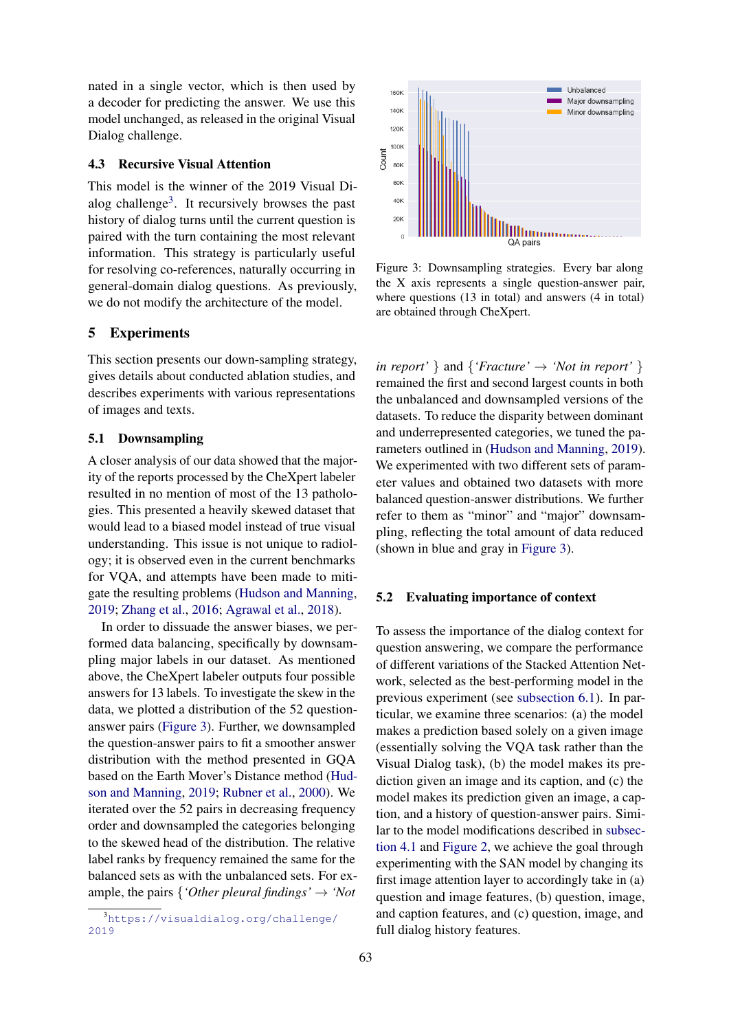nated in a single vector, which is then used by a decoder for predicting the answer. We use this model unchanged, as released in the original Visual Dialog challenge.

#### 4.3 Recursive Visual Attention

This model is the winner of the 2019 Visual Di-alog challenge<sup>[3](#page-3-1)</sup>. It recursively browses the past history of dialog turns until the current question is paired with the turn containing the most relevant information. This strategy is particularly useful for resolving co-references, naturally occurring in general-domain dialog questions. As previously, we do not modify the architecture of the model.

### <span id="page-3-0"></span>5 Experiments

This section presents our down-sampling strategy, gives details about conducted ablation studies, and describes experiments with various representations of images and texts.

#### 5.1 Downsampling

A closer analysis of our data showed that the majority of the reports processed by the CheXpert labeler resulted in no mention of most of the 13 pathologies. This presented a heavily skewed dataset that would lead to a biased model instead of true visual understanding. This issue is not unique to radiology; it is observed even in the current benchmarks for VQA, and attempts have been made to mitigate the resulting problems [\(Hudson and Manning,](#page-8-8) [2019;](#page-8-8) [Zhang et al.,](#page-9-15) [2016;](#page-9-15) [Agrawal et al.,](#page-8-9) [2018\)](#page-8-9).

In order to dissuade the answer biases, we performed data balancing, specifically by downsampling major labels in our dataset. As mentioned above, the CheXpert labeler outputs four possible answers for 13 labels. To investigate the skew in the data, we plotted a distribution of the 52 questionanswer pairs [\(Figure 3\)](#page-3-2). Further, we downsampled the question-answer pairs to fit a smoother answer distribution with the method presented in GQA based on the Earth Mover's Distance method [\(Hud](#page-8-8)[son and Manning,](#page-8-8) [2019;](#page-8-8) [Rubner et al.,](#page-9-16) [2000\)](#page-9-16). We iterated over the 52 pairs in decreasing frequency order and downsampled the categories belonging to the skewed head of the distribution. The relative label ranks by frequency remained the same for the balanced sets as with the unbalanced sets. For example, the pairs  $\{'Other\,ເ$ *findings'*  $\rightarrow 'Not$ 

<span id="page-3-2"></span>

Figure 3: Downsampling strategies. Every bar along the X axis represents a single question-answer pair, where questions (13 in total) and answers (4 in total) are obtained through CheXpert.

*in report'* } and {*'Fracture'*  $\rightarrow$  *'Not in report'* } remained the first and second largest counts in both the unbalanced and downsampled versions of the datasets. To reduce the disparity between dominant and underrepresented categories, we tuned the parameters outlined in [\(Hudson and Manning,](#page-8-8) [2019\)](#page-8-8). We experimented with two different sets of parameter values and obtained two datasets with more balanced question-answer distributions. We further refer to them as "minor" and "major" downsampling, reflecting the total amount of data reduced (shown in blue and gray in [Figure 3\)](#page-3-2).

## 5.2 Evaluating importance of context

To assess the importance of the dialog context for question answering, we compare the performance of different variations of the Stacked Attention Network, selected as the best-performing model in the previous experiment (see [subsection 6.1\)](#page-5-0). In particular, we examine three scenarios: (a) the model makes a prediction based solely on a given image (essentially solving the VQA task rather than the Visual Dialog task), (b) the model makes its prediction given an image and its caption, and (c) the model makes its prediction given an image, a caption, and a history of question-answer pairs. Similar to the model modifications described in [subsec](#page-2-3)[tion 4.1](#page-2-3) and [Figure 2,](#page-2-2) we achieve the goal through experimenting with the SAN model by changing its first image attention layer to accordingly take in (a) question and image features, (b) question, image, and caption features, and (c) question, image, and full dialog history features.

<span id="page-3-1"></span><sup>3</sup>[https://visualdialog.org/challenge/](https://visualdialog.org/challenge/2019) [2019](https://visualdialog.org/challenge/2019)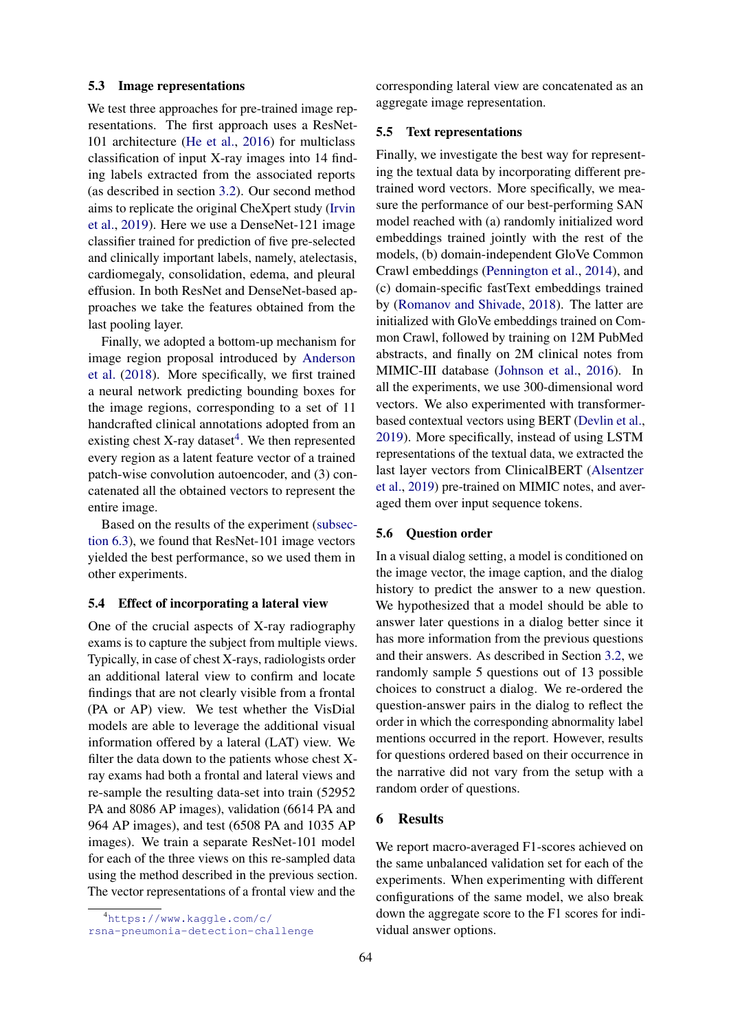### 5.3 Image representations

We test three approaches for pre-trained image representations. The first approach uses a ResNet-101 architecture [\(He et al.,](#page-8-10) [2016\)](#page-8-10) for multiclass classification of input X-ray images into 14 finding labels extracted from the associated reports (as described in section [3.2\)](#page-1-1). Our second method aims to replicate the original CheXpert study [\(Irvin](#page-9-6) [et al.,](#page-9-6) [2019\)](#page-9-6). Here we use a DenseNet-121 image classifier trained for prediction of five pre-selected and clinically important labels, namely, atelectasis, cardiomegaly, consolidation, edema, and pleural effusion. In both ResNet and DenseNet-based approaches we take the features obtained from the last pooling layer.

Finally, we adopted a bottom-up mechanism for image region proposal introduced by [Anderson](#page-8-11) [et al.](#page-8-11) [\(2018\)](#page-8-11). More specifically, we first trained a neural network predicting bounding boxes for the image regions, corresponding to a set of 11 handcrafted clinical annotations adopted from an existing chest X-ray dataset<sup>[4](#page-4-0)</sup>. We then represented every region as a latent feature vector of a trained patch-wise convolution autoencoder, and (3) concatenated all the obtained vectors to represent the entire image.

Based on the results of the experiment [\(subsec](#page-5-1)[tion 6.3\)](#page-5-1), we found that ResNet-101 image vectors yielded the best performance, so we used them in other experiments.

#### 5.4 Effect of incorporating a lateral view

One of the crucial aspects of X-ray radiography exams is to capture the subject from multiple views. Typically, in case of chest X-rays, radiologists order an additional lateral view to confirm and locate findings that are not clearly visible from a frontal (PA or AP) view. We test whether the VisDial models are able to leverage the additional visual information offered by a lateral (LAT) view. We filter the data down to the patients whose chest Xray exams had both a frontal and lateral views and re-sample the resulting data-set into train (52952 PA and 8086 AP images), validation (6614 PA and 964 AP images), and test (6508 PA and 1035 AP images). We train a separate ResNet-101 model for each of the three views on this re-sampled data using the method described in the previous section. The vector representations of a frontal view and the

corresponding lateral view are concatenated as an aggregate image representation.

## 5.5 Text representations

Finally, we investigate the best way for representing the textual data by incorporating different pretrained word vectors. More specifically, we measure the performance of our best-performing SAN model reached with (a) randomly initialized word embeddings trained jointly with the rest of the models, (b) domain-independent GloVe Common Crawl embeddings [\(Pennington et al.,](#page-9-17) [2014\)](#page-9-17), and (c) domain-specific fastText embeddings trained by [\(Romanov and Shivade,](#page-9-18) [2018\)](#page-9-18). The latter are initialized with GloVe embeddings trained on Common Crawl, followed by training on 12M PubMed abstracts, and finally on 2M clinical notes from MIMIC-III database [\(Johnson et al.,](#page-9-19) [2016\)](#page-9-19). In all the experiments, we use 300-dimensional word vectors. We also experimented with transformerbased contextual vectors using BERT [\(Devlin et al.,](#page-8-12) [2019\)](#page-8-12). More specifically, instead of using LSTM representations of the textual data, we extracted the last layer vectors from ClinicalBERT [\(Alsentzer](#page-8-13) [et al.,](#page-8-13) [2019\)](#page-8-13) pre-trained on MIMIC notes, and averaged them over input sequence tokens.

### 5.6 Question order

In a visual dialog setting, a model is conditioned on the image vector, the image caption, and the dialog history to predict the answer to a new question. We hypothesized that a model should be able to answer later questions in a dialog better since it has more information from the previous questions and their answers. As described in Section [3.2,](#page-1-1) we randomly sample 5 questions out of 13 possible choices to construct a dialog. We re-ordered the question-answer pairs in the dialog to reflect the order in which the corresponding abnormality label mentions occurred in the report. However, results for questions ordered based on their occurrence in the narrative did not vary from the setup with a random order of questions.

### 6 Results

We report macro-averaged F1-scores achieved on the same unbalanced validation set for each of the experiments. When experimenting with different configurations of the same model, we also break down the aggregate score to the F1 scores for individual answer options.

<span id="page-4-0"></span><sup>4</sup>[https://www.kaggle.com/c/](https://www.kaggle.com/c/rsna-pneumonia-detection-challenge)

[rsna-pneumonia-detection-challenge](https://www.kaggle.com/c/rsna-pneumonia-detection-challenge)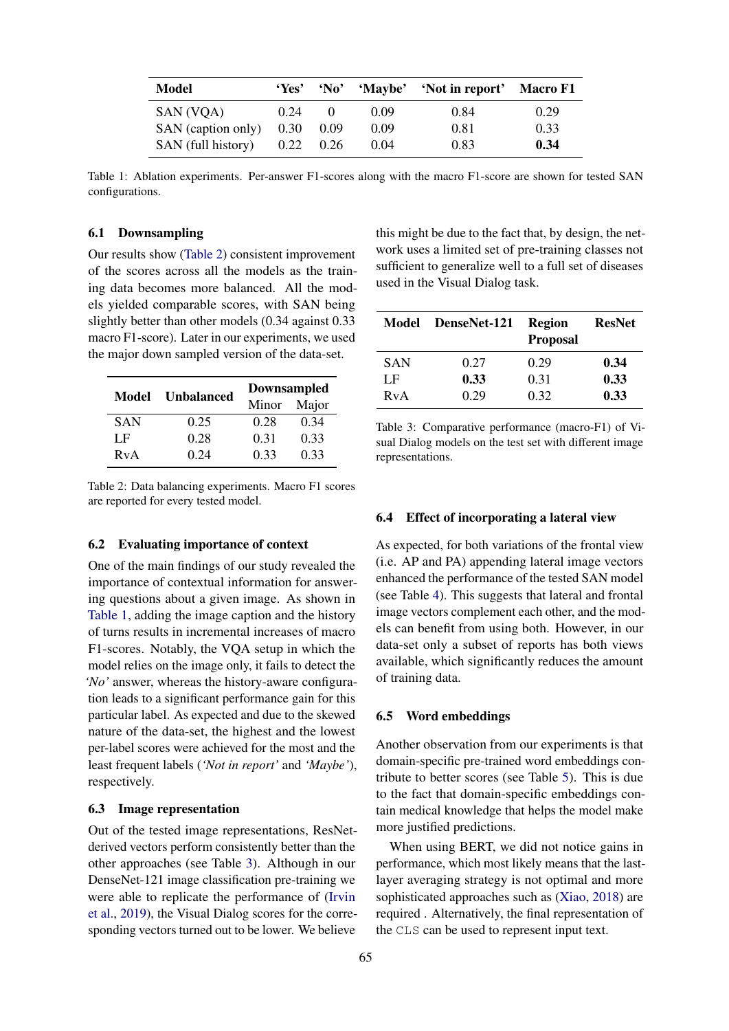<span id="page-5-3"></span>

| Model              | 'Yes' | $^{\circ}$ No' |      | 'Maybe' 'Not in report' Macro F1 |      |
|--------------------|-------|----------------|------|----------------------------------|------|
| SAN (VQA)          | 0.24  | $\theta$       | 0.09 | 0.84                             | 0.29 |
| SAN (caption only) | 0.30  | 0.09           | 0.09 | 0.81                             | 0.33 |
| SAN (full history) | 0.22  | 0.26           | 0.04 | 0.83                             | 0.34 |

Table 1: Ablation experiments. Per-answer F1-scores along with the macro F1-score are shown for tested SAN configurations.

### <span id="page-5-0"></span>6.1 Downsampling

Our results show [\(Table 2\)](#page-5-2) consistent improvement of the scores across all the models as the training data becomes more balanced. All the models yielded comparable scores, with SAN being slightly better than other models (0.34 against 0.33 macro F1-score). Later in our experiments, we used the major down sampled version of the data-set.

<span id="page-5-2"></span>

| <b>Model</b> | <b>Unbalanced</b> | <b>Downsampled</b> |      |  |
|--------------|-------------------|--------------------|------|--|
|              |                   | Major<br>Minor     |      |  |
| <b>SAN</b>   | 0.25              | 0.28               | 0.34 |  |
| LF           | 0.28              | 0.31               | 0.33 |  |
| RvA          | 0.24              | 0.33               | 0.33 |  |

Table 2: Data balancing experiments. Macro F1 scores are reported for every tested model.

### 6.2 Evaluating importance of context

One of the main findings of our study revealed the importance of contextual information for answering questions about a given image. As shown in [Table 1,](#page-5-3) adding the image caption and the history of turns results in incremental increases of macro F1-scores. Notably, the VQA setup in which the model relies on the image only, it fails to detect the *'No'* answer, whereas the history-aware configuration leads to a significant performance gain for this particular label. As expected and due to the skewed nature of the data-set, the highest and the lowest per-label scores were achieved for the most and the least frequent labels (*'Not in report'* and *'Maybe'*), respectively.

### <span id="page-5-1"></span>6.3 Image representation

Out of the tested image representations, ResNetderived vectors perform consistently better than the other approaches (see Table [3\)](#page-5-4). Although in our DenseNet-121 image classification pre-training we were able to replicate the performance of [\(Irvin](#page-9-6) [et al.,](#page-9-6) [2019\)](#page-9-6), the Visual Dialog scores for the corresponding vectors turned out to be lower. We believe

this might be due to the fact that, by design, the network uses a limited set of pre-training classes not sufficient to generalize well to a full set of diseases used in the Visual Dialog task.

<span id="page-5-4"></span>

| Model | DenseNet-121 | <b>Region</b><br><b>Proposal</b> | <b>ResNet</b> |
|-------|--------------|----------------------------------|---------------|
| SAN   | 0.27         | 0.29                             | 0.34          |
| LF    | 0.33         | 0.31                             | 0.33          |
| RvA   | 0.29         | 0.32                             | 0.33          |

Table 3: Comparative performance (macro-F1) of Visual Dialog models on the test set with different image representations.

#### 6.4 Effect of incorporating a lateral view

As expected, for both variations of the frontal view (i.e. AP and PA) appending lateral image vectors enhanced the performance of the tested SAN model (see Table [4\)](#page-6-0). This suggests that lateral and frontal image vectors complement each other, and the models can benefit from using both. However, in our data-set only a subset of reports has both views available, which significantly reduces the amount of training data.

### 6.5 Word embeddings

Another observation from our experiments is that domain-specific pre-trained word embeddings contribute to better scores (see Table [5\)](#page-6-1). This is due to the fact that domain-specific embeddings contain medical knowledge that helps the model make more justified predictions.

When using BERT, we did not notice gains in performance, which most likely means that the lastlayer averaging strategy is not optimal and more sophisticated approaches such as [\(Xiao,](#page-9-20) [2018\)](#page-9-20) are required . Alternatively, the final representation of the CLS can be used to represent input text.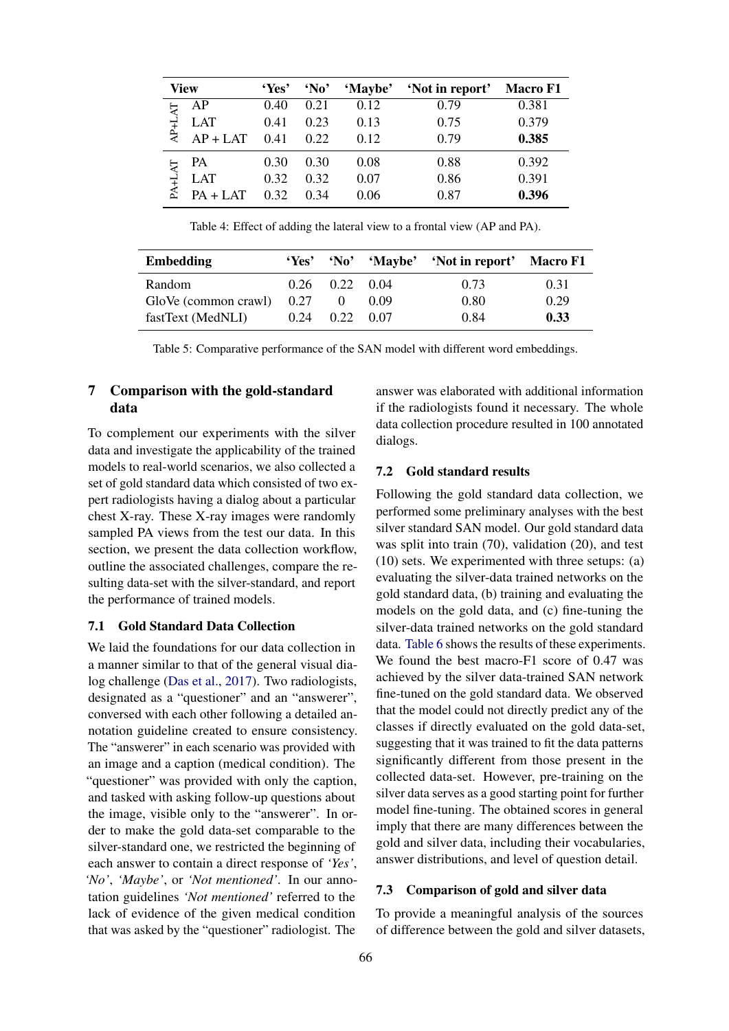<span id="page-6-0"></span>

| <b>View</b>          | 'Yes' | $^{\circ}$ No' | 'Maybe' | 'Not in report' | <b>Macro F1</b> |
|----------------------|-------|----------------|---------|-----------------|-----------------|
| АP                   | 0.40  | 0.21           | 0.12    | 0.79            | 0.381           |
| <b>LAT</b><br>AP+L   | 0.41  | 0.23           | 0.13    | 0.75            | 0.379           |
| $AP + LAT$           | 0.41  | 0.22           | 0.12    | 0.79            | 0.385           |
| РA                   | 0.30  | 0.30           | 0.08    | 0.88            | 0.392           |
| $PA+L$<br><b>LAT</b> | 0.32  | 0.32           | 0.07    | 0.86            | 0.391           |
| $PA + LAT$           | 0.32  | 0.34           | 0.06    | 0.87            | 0.396           |

Table 4: Effect of adding the lateral view to a frontal view (AP and PA).

<span id="page-6-1"></span>

| <b>Embedding</b>            | 'Yes' | $^{\circ}$ No'       | 'Maybe' | 'Not in report' Macro F1 |      |
|-----------------------------|-------|----------------------|---------|--------------------------|------|
| Random                      |       | $0.26$ $0.22$ $0.04$ |         | 0.73                     | 0.31 |
| GloVe (common crawl) $0.27$ |       | $\theta$             | 0.09    | 0.80                     | 0.29 |
| fastText (MedNLI)           | 0.24  | $0.22 \quad 0.07$    |         | 0.84                     | 0.33 |

Table 5: Comparative performance of the SAN model with different word embeddings.

## 7 Comparison with the gold-standard data

To complement our experiments with the silver data and investigate the applicability of the trained models to real-world scenarios, we also collected a set of gold standard data which consisted of two expert radiologists having a dialog about a particular chest X-ray. These X-ray images were randomly sampled PA views from the test our data. In this section, we present the data collection workflow, outline the associated challenges, compare the resulting data-set with the silver-standard, and report the performance of trained models.

## 7.1 Gold Standard Data Collection

We laid the foundations for our data collection in a manner similar to that of the general visual dialog challenge [\(Das et al.,](#page-8-1) [2017\)](#page-8-1). Two radiologists, designated as a "questioner" and an "answerer", conversed with each other following a detailed annotation guideline created to ensure consistency. The "answerer" in each scenario was provided with an image and a caption (medical condition). The "questioner" was provided with only the caption, and tasked with asking follow-up questions about the image, visible only to the "answerer". In order to make the gold data-set comparable to the silver-standard one, we restricted the beginning of each answer to contain a direct response of *'Yes'*, *'No'*, *'Maybe'*, or *'Not mentioned'*. In our annotation guidelines *'Not mentioned'* referred to the lack of evidence of the given medical condition that was asked by the "questioner" radiologist. The

answer was elaborated with additional information if the radiologists found it necessary. The whole data collection procedure resulted in 100 annotated dialogs.

### 7.2 Gold standard results

Following the gold standard data collection, we performed some preliminary analyses with the best silver standard SAN model. Our gold standard data was split into train (70), validation (20), and test (10) sets. We experimented with three setups: (a) evaluating the silver-data trained networks on the gold standard data, (b) training and evaluating the models on the gold data, and (c) fine-tuning the silver-data trained networks on the gold standard data. [Table 6](#page-7-0) shows the results of these experiments. We found the best macro-F1 score of 0.47 was achieved by the silver data-trained SAN network fine-tuned on the gold standard data. We observed that the model could not directly predict any of the classes if directly evaluated on the gold data-set, suggesting that it was trained to fit the data patterns significantly different from those present in the collected data-set. However, pre-training on the silver data serves as a good starting point for further model fine-tuning. The obtained scores in general imply that there are many differences between the gold and silver data, including their vocabularies, answer distributions, and level of question detail.

## 7.3 Comparison of gold and silver data

To provide a meaningful analysis of the sources of difference between the gold and silver datasets,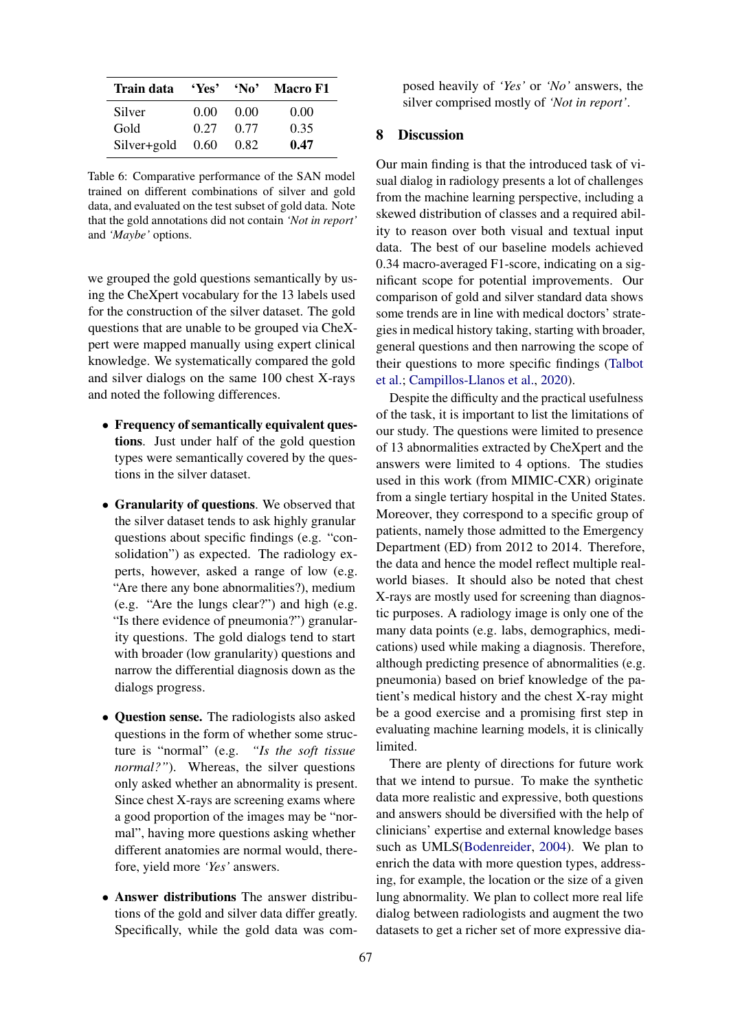<span id="page-7-0"></span>

| Train data  | 'Yes | 'No' | <b>Macro F1</b> |
|-------------|------|------|-----------------|
| Silver      | 0.00 | 0.00 | 0.00            |
| Gold        | 0.27 | 0.77 | 0.35            |
| Silver+gold | 0.60 | 0.82 | 0.47            |

Table 6: Comparative performance of the SAN model trained on different combinations of silver and gold data, and evaluated on the test subset of gold data. Note that the gold annotations did not contain *'Not in report'* and *'Maybe'* options.

we grouped the gold questions semantically by using the CheXpert vocabulary for the 13 labels used for the construction of the silver dataset. The gold questions that are unable to be grouped via CheXpert were mapped manually using expert clinical knowledge. We systematically compared the gold and silver dialogs on the same 100 chest X-rays and noted the following differences.

- Frequency of semantically equivalent questions. Just under half of the gold question types were semantically covered by the questions in the silver dataset.
- Granularity of questions. We observed that the silver dataset tends to ask highly granular questions about specific findings (e.g. "consolidation") as expected. The radiology experts, however, asked a range of low (e.g. "Are there any bone abnormalities?), medium (e.g. "Are the lungs clear?") and high (e.g. "Is there evidence of pneumonia?") granularity questions. The gold dialogs tend to start with broader (low granularity) questions and narrow the differential diagnosis down as the dialogs progress.
- **Question sense.** The radiologists also asked questions in the form of whether some structure is "normal" (e.g. *"Is the soft tissue normal?"*). Whereas, the silver questions only asked whether an abnormality is present. Since chest X-rays are screening exams where a good proportion of the images may be "normal", having more questions asking whether different anatomies are normal would, therefore, yield more *'Yes'* answers.
- Answer distributions The answer distributions of the gold and silver data differ greatly. Specifically, while the gold data was com-

posed heavily of *'Yes'* or *'No'* answers, the silver comprised mostly of *'Not in report'*.

### 8 Discussion

Our main finding is that the introduced task of visual dialog in radiology presents a lot of challenges from the machine learning perspective, including a skewed distribution of classes and a required ability to reason over both visual and textual input data. The best of our baseline models achieved 0.34 macro-averaged F1-score, indicating on a significant scope for potential improvements. Our comparison of gold and silver standard data shows some trends are in line with medical doctors' strategies in medical history taking, starting with broader, general questions and then narrowing the scope of their questions to more specific findings [\(Talbot](#page-9-21) [et al.;](#page-9-21) [Campillos-Llanos et al.,](#page-8-14) [2020\)](#page-8-14).

Despite the difficulty and the practical usefulness of the task, it is important to list the limitations of our study. The questions were limited to presence of 13 abnormalities extracted by CheXpert and the answers were limited to 4 options. The studies used in this work (from MIMIC-CXR) originate from a single tertiary hospital in the United States. Moreover, they correspond to a specific group of patients, namely those admitted to the Emergency Department (ED) from 2012 to 2014. Therefore, the data and hence the model reflect multiple realworld biases. It should also be noted that chest X-rays are mostly used for screening than diagnostic purposes. A radiology image is only one of the many data points (e.g. labs, demographics, medications) used while making a diagnosis. Therefore, although predicting presence of abnormalities (e.g. pneumonia) based on brief knowledge of the patient's medical history and the chest X-ray might be a good exercise and a promising first step in evaluating machine learning models, it is clinically limited.

There are plenty of directions for future work that we intend to pursue. To make the synthetic data more realistic and expressive, both questions and answers should be diversified with the help of clinicians' expertise and external knowledge bases such as UMLS[\(Bodenreider,](#page-8-15) [2004\)](#page-8-15). We plan to enrich the data with more question types, addressing, for example, the location or the size of a given lung abnormality. We plan to collect more real life dialog between radiologists and augment the two datasets to get a richer set of more expressive dia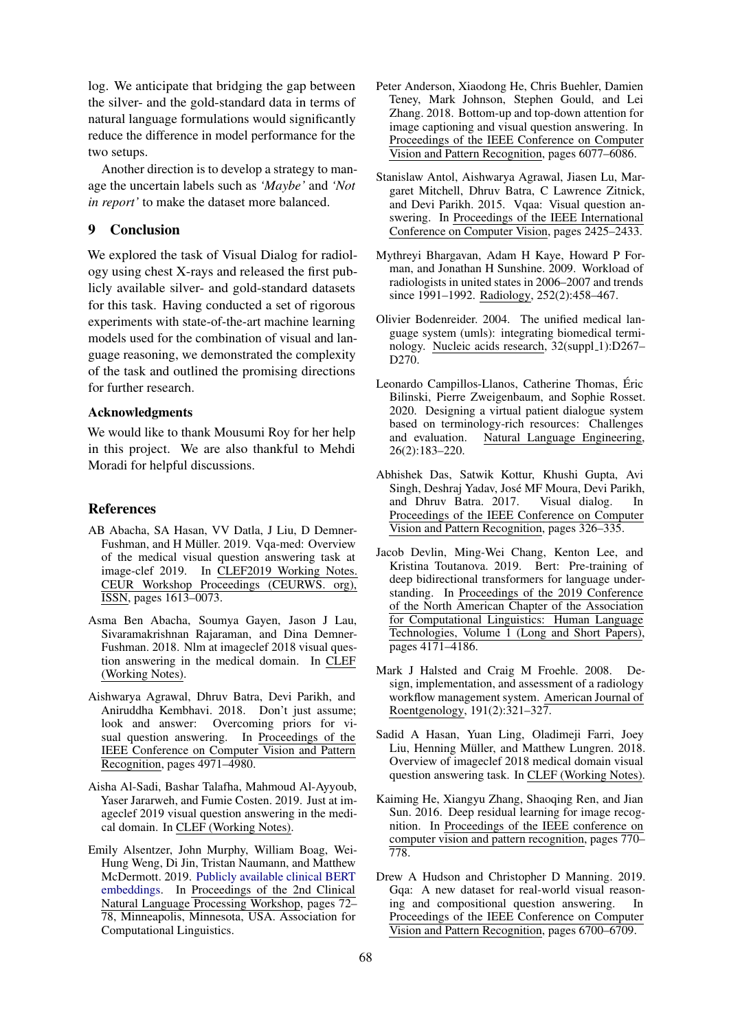log. We anticipate that bridging the gap between the silver- and the gold-standard data in terms of natural language formulations would significantly reduce the difference in model performance for the two setups.

Another direction is to develop a strategy to manage the uncertain labels such as *'Maybe'* and *'Not in report'* to make the dataset more balanced.

### 9 Conclusion

We explored the task of Visual Dialog for radiology using chest X-rays and released the first publicly available silver- and gold-standard datasets for this task. Having conducted a set of rigorous experiments with state-of-the-art machine learning models used for the combination of visual and language reasoning, we demonstrated the complexity of the task and outlined the promising directions for further research.

### Acknowledgments

We would like to thank Mousumi Roy for her help in this project. We are also thankful to Mehdi Moradi for helpful discussions.

## References

- <span id="page-8-5"></span>AB Abacha, SA Hasan, VV Datla, J Liu, D Demner-Fushman, and H Müller. 2019. Vqa-med: Overview of the medical visual question answering task at image-clef 2019. In CLEF2019 Working Notes. CEUR Workshop Proceedings (CEURWS. org), ISSN, pages 1613–0073.
- <span id="page-8-7"></span>Asma Ben Abacha, Soumya Gayen, Jason J Lau, Sivaramakrishnan Rajaraman, and Dina Demner-Fushman. 2018. Nlm at imageclef 2018 visual question answering in the medical domain. In CLEF (Working Notes).
- <span id="page-8-9"></span>Aishwarya Agrawal, Dhruv Batra, Devi Parikh, and Aniruddha Kembhavi. 2018. Don't just assume; look and answer: Overcoming priors for visual question answering. In Proceedings of the IEEE Conference on Computer Vision and Pattern Recognition, pages 4971–4980.
- <span id="page-8-6"></span>Aisha Al-Sadi, Bashar Talafha, Mahmoud Al-Ayyoub, Yaser Jararweh, and Fumie Costen. 2019. Just at imageclef 2019 visual question answering in the medical domain. In CLEF (Working Notes).
- <span id="page-8-13"></span>Emily Alsentzer, John Murphy, William Boag, Wei-Hung Weng, Di Jin, Tristan Naumann, and Matthew McDermott. 2019. [Publicly available clinical BERT](https://doi.org/10.18653/v1/W19-1909) [embeddings.](https://doi.org/10.18653/v1/W19-1909) In Proceedings of the 2nd Clinical Natural Language Processing Workshop, pages 72– 78, Minneapolis, Minnesota, USA. Association for Computational Linguistics.
- <span id="page-8-11"></span>Peter Anderson, Xiaodong He, Chris Buehler, Damien Teney, Mark Johnson, Stephen Gould, and Lei Zhang. 2018. Bottom-up and top-down attention for image captioning and visual question answering. In Proceedings of the IEEE Conference on Computer Vision and Pattern Recognition, pages 6077–6086.
- <span id="page-8-0"></span>Stanislaw Antol, Aishwarya Agrawal, Jiasen Lu, Margaret Mitchell, Dhruv Batra, C Lawrence Zitnick, and Devi Parikh. 2015. Vqaa: Visual question answering. In Proceedings of the IEEE International Conference on Computer Vision, pages 2425–2433.
- <span id="page-8-2"></span>Mythreyi Bhargavan, Adam H Kaye, Howard P Forman, and Jonathan H Sunshine. 2009. Workload of radiologists in united states in 2006–2007 and trends since 1991–1992. Radiology, 252(2):458–467.
- <span id="page-8-15"></span>Olivier Bodenreider. 2004. The unified medical language system (umls): integrating biomedical terminology. Nucleic acids research, 32(suppl\_1):D267-D270.
- <span id="page-8-14"></span>Leonardo Campillos-Llanos, Catherine Thomas, Eric ´ Bilinski, Pierre Zweigenbaum, and Sophie Rosset. 2020. Designing a virtual patient dialogue system based on terminology-rich resources: Challenges<br>and evaluation. Natural Language Engineering, Natural Language Engineering, 26(2):183–220.
- <span id="page-8-1"></span>Abhishek Das, Satwik Kottur, Khushi Gupta, Avi Singh, Deshraj Yadav, Jose MF Moura, Devi Parikh, ´ and Dhruv Batra. 2017. Visual dialog. In Proceedings of the IEEE Conference on Computer Vision and Pattern Recognition, pages 326–335.
- <span id="page-8-12"></span>Jacob Devlin, Ming-Wei Chang, Kenton Lee, and Kristina Toutanova. 2019. Bert: Pre-training of deep bidirectional transformers for language understanding. In Proceedings of the 2019 Conference of the North American Chapter of the Association for Computational Linguistics: Human Language Technologies, Volume 1 (Long and Short Papers), pages 4171–4186.
- <span id="page-8-3"></span>Mark J Halsted and Craig M Froehle. 2008. Design, implementation, and assessment of a radiology workflow management system. American Journal of Roentgenology, 191(2):321–327.
- <span id="page-8-4"></span>Sadid A Hasan, Yuan Ling, Oladimeji Farri, Joey Liu, Henning Müller, and Matthew Lungren. 2018. Overview of imageclef 2018 medical domain visual question answering task. In CLEF (Working Notes).
- <span id="page-8-10"></span>Kaiming He, Xiangyu Zhang, Shaoqing Ren, and Jian Sun. 2016. Deep residual learning for image recognition. In Proceedings of the IEEE conference on computer vision and pattern recognition, pages 770– 778.
- <span id="page-8-8"></span>Drew A Hudson and Christopher D Manning. 2019. Gqa: A new dataset for real-world visual reasoning and compositional question answering. In Proceedings of the IEEE Conference on Computer Vision and Pattern Recognition, pages 6700–6709.